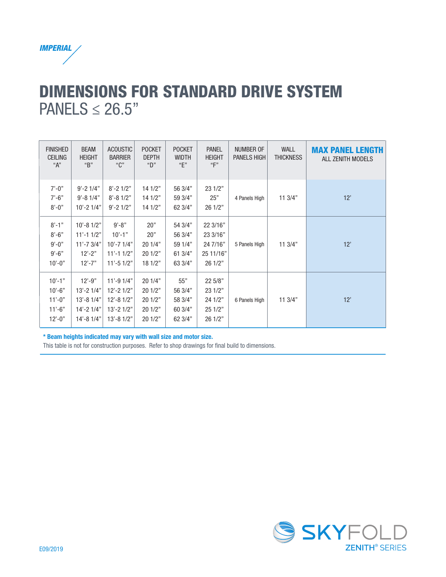

## DIMENSIONS FOR STANDARD DRIVE SYSTEM  $PANELS \leq 26.5"$

| <b>FINISHED</b><br><b>CEILING</b><br>"A"                       | <b>BEAM</b><br><b>HEIGHT</b><br>"B"                                           | <b>ACOUSTIC</b><br><b>BARRIER</b><br>``C"                                         | <b>POCKET</b><br><b>DEPTH</b><br>"D"                | <b>POCKET</b><br><b>WIDTH</b><br>"F"                | <b>PANEL</b><br><b>HEIGHT</b><br>"F"                     | <b>NUMBER OF</b><br><b>PANELS HIGH</b> | <b>WALL</b><br><b>THICKNESS</b> | <b>MAX PANEL LENGTH</b><br>ALL ZENITH MODELS |
|----------------------------------------------------------------|-------------------------------------------------------------------------------|-----------------------------------------------------------------------------------|-----------------------------------------------------|-----------------------------------------------------|----------------------------------------------------------|----------------------------------------|---------------------------------|----------------------------------------------|
| $7' - 0''$<br>$7' - 6"$<br>$8' - 0''$                          | $9' - 21/4"$<br>$9' - 81/4"$<br>$10' - 21/4"$                                 | $8' - 21/2"$<br>$8' - 81/2"$<br>$9' - 21/2"$                                      | 14 1/2"<br>14 1/2"<br>14 1/2"                       | 56 3/4"<br>59 3/4"<br>62 3/4"                       | 23 1/2"<br>25"<br>26 1/2"                                | 4 Panels High                          | 11 3/4"                         | 12'                                          |
| $8' - 1"$<br>$8' - 6"$<br>$9' - 0''$<br>$9' - 6"$<br>$10'-0$ " | $10' - 81/2"$<br>$11' - 11/2"$<br>$11' - 73/4"$<br>$12 - 2"$<br>$12' - 7"$    | $9' - 8"$<br>$10' - 1"$<br>$10' - 71/4"$<br>$11' - 11/2"$<br>$11' - 51/2"$        | 20"<br>20"<br>20 1/4"<br>20 1/2"<br>18 1/2"         | 54 3/4"<br>56 3/4"<br>59 1/4"<br>61 3/4"<br>63 3/4" | 22 3/16"<br>23 3/16"<br>24 7/16"<br>25 11/16"<br>26 1/2" | 5 Panels High                          | 113/4"                          | 12'                                          |
| $10' - 1"$<br>$10'-6"$<br>$11'-0$ "<br>$11'-6"$<br>$12 - 0$ "  | $12 - 9"$<br>$13' - 21/4"$<br>$13' - 81/4"$<br>$14' - 21/4"$<br>$14' - 81/4"$ | $11' - 91/4"$<br>$12' - 21/2"$<br>$12' - 81/2"$<br>$13' - 21/2"$<br>$13' - 81/2"$ | 20 1/4"<br>20 1/2"<br>20 1/2"<br>20 1/2"<br>20 1/2" | 55"<br>56 3/4"<br>58 3/4"<br>60 3/4"<br>62 3/4"     | 22 5/8"<br>23 1/2"<br>24 1/2"<br>25 1/2"<br>26 1/2"      | 6 Panels High                          | 11 3/4"                         | 12'                                          |

\* Beam heights indicated may vary with wall size and motor size.

This table is not for construction purposes. Refer to shop drawings for final build to dimensions.